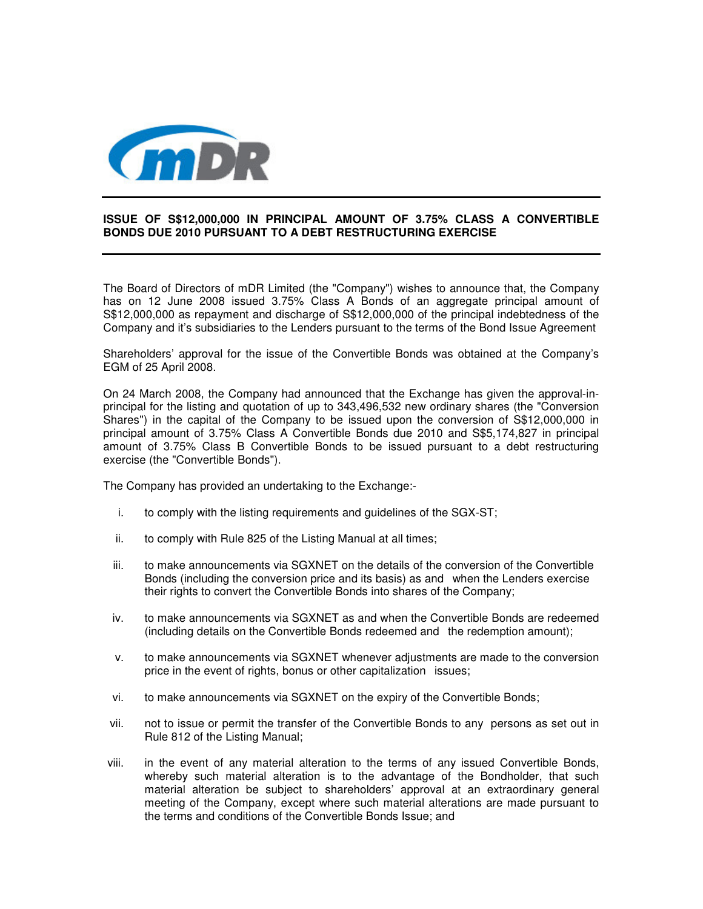

## **ISSUE OF S\$12,000,000 IN PRINCIPAL AMOUNT OF 3.75% CLASS A CONVERTIBLE BONDS DUE 2010 PURSUANT TO A DEBT RESTRUCTURING EXERCISE**

The Board of Directors of mDR Limited (the "Company") wishes to announce that, the Company has on 12 June 2008 issued 3.75% Class A Bonds of an aggregate principal amount of S\$12,000,000 as repayment and discharge of S\$12,000,000 of the principal indebtedness of the Company and it's subsidiaries to the Lenders pursuant to the terms of the Bond Issue Agreement

Shareholders' approval for the issue of the Convertible Bonds was obtained at the Company's EGM of 25 April 2008.

On 24 March 2008, the Company had announced that the Exchange has given the approval-inprincipal for the listing and quotation of up to 343,496,532 new ordinary shares (the "Conversion Shares") in the capital of the Company to be issued upon the conversion of S\$12,000,000 in principal amount of 3.75% Class A Convertible Bonds due 2010 and S\$5,174,827 in principal amount of 3.75% Class B Convertible Bonds to be issued pursuant to a debt restructuring exercise (the "Convertible Bonds").

The Company has provided an undertaking to the Exchange:-

- i. to comply with the listing requirements and guidelines of the SGX-ST;
- ii. to comply with Rule 825 of the Listing Manual at all times;
- iii. to make announcements via SGXNET on the details of the conversion of the Convertible Bonds (including the conversion price and its basis) as and when the Lenders exercise their rights to convert the Convertible Bonds into shares of the Company;
- iv. to make announcements via SGXNET as and when the Convertible Bonds are redeemed (including details on the Convertible Bonds redeemed and the redemption amount);
- v. to make announcements via SGXNET whenever adjustments are made to the conversion price in the event of rights, bonus or other capitalization issues;
- vi. to make announcements via SGXNET on the expiry of the Convertible Bonds;
- vii. not to issue or permit the transfer of the Convertible Bonds to any persons as set out in Rule 812 of the Listing Manual;
- viii. in the event of any material alteration to the terms of any issued Convertible Bonds, whereby such material alteration is to the advantage of the Bondholder, that such material alteration be subject to shareholders' approval at an extraordinary general meeting of the Company, except where such material alterations are made pursuant to the terms and conditions of the Convertible Bonds Issue; and